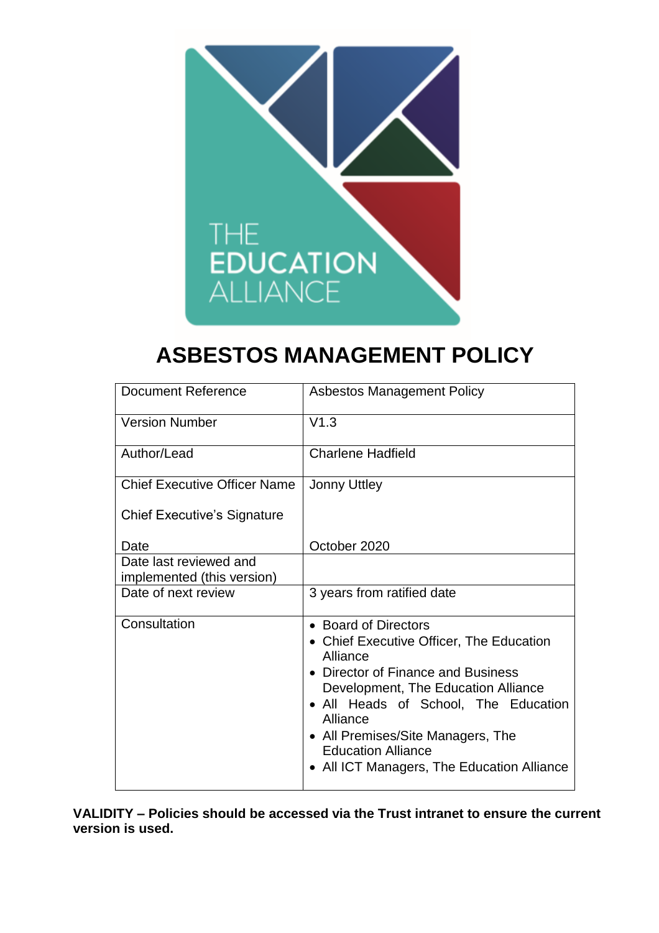

# **ASBESTOS MANAGEMENT POLICY**

| <b>Document Reference</b>                            | <b>Asbestos Management Policy</b>                                                                                                                                                                                                                                                                                             |  |
|------------------------------------------------------|-------------------------------------------------------------------------------------------------------------------------------------------------------------------------------------------------------------------------------------------------------------------------------------------------------------------------------|--|
| <b>Version Number</b>                                | V1.3                                                                                                                                                                                                                                                                                                                          |  |
| Author/Lead                                          | <b>Charlene Hadfield</b>                                                                                                                                                                                                                                                                                                      |  |
| <b>Chief Executive Officer Name</b>                  | <b>Jonny Uttley</b>                                                                                                                                                                                                                                                                                                           |  |
| <b>Chief Executive's Signature</b>                   |                                                                                                                                                                                                                                                                                                                               |  |
| Date                                                 | October 2020                                                                                                                                                                                                                                                                                                                  |  |
| Date last reviewed and<br>implemented (this version) |                                                                                                                                                                                                                                                                                                                               |  |
| Date of next review                                  | 3 years from ratified date                                                                                                                                                                                                                                                                                                    |  |
| Consultation                                         | • Board of Directors<br>• Chief Executive Officer, The Education<br>Alliance<br>• Director of Finance and Business<br>Development, The Education Alliance<br>• All Heads of School, The Education<br>Alliance<br>• All Premises/Site Managers, The<br><b>Education Alliance</b><br>• All ICT Managers, The Education Alliance |  |

**VALIDITY – Policies should be accessed via the Trust intranet to ensure the current version is used.**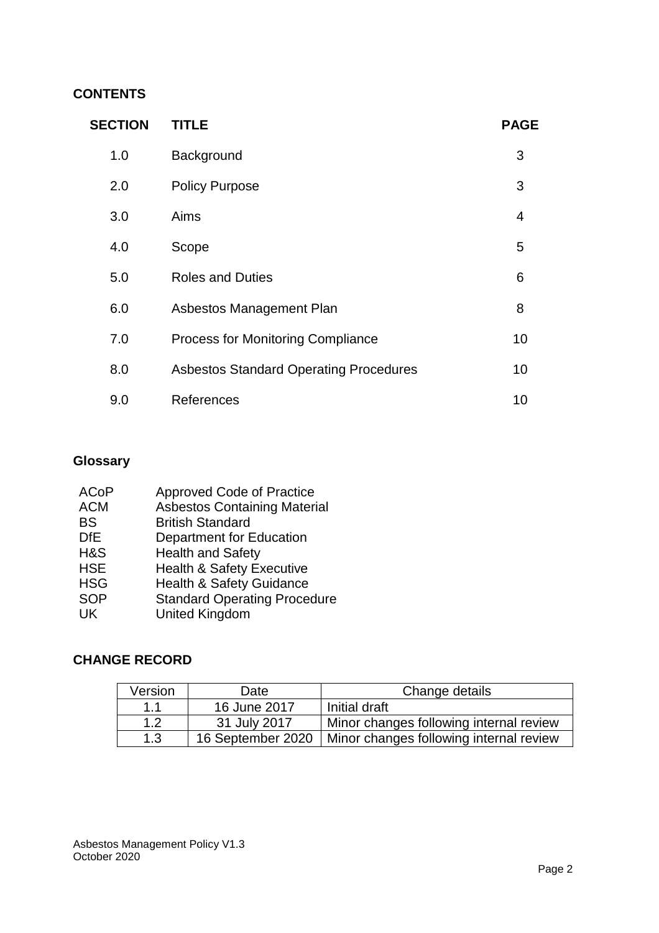## **CONTENTS**

| <b>SECTION</b> | <b>TITLE</b>                                  | <b>PAGE</b>    |
|----------------|-----------------------------------------------|----------------|
| 1.0            | Background                                    | 3              |
| 2.0            | <b>Policy Purpose</b>                         | 3              |
| 3.0            | Aims                                          | $\overline{4}$ |
| 4.0            | Scope                                         | 5              |
| 5.0            | <b>Roles and Duties</b>                       | 6              |
| 6.0            | Asbestos Management Plan                      | 8              |
| 7.0            | <b>Process for Monitoring Compliance</b>      | 10             |
| 8.0            | <b>Asbestos Standard Operating Procedures</b> | 10             |
| 9.0            | References                                    | 10             |

# **Glossary**

| <b>ACoP</b> | <b>Approved Code of Practice</b>     |
|-------------|--------------------------------------|
| <b>ACM</b>  | <b>Asbestos Containing Material</b>  |
| <b>BS</b>   | <b>British Standard</b>              |
| <b>DfE</b>  | Department for Education             |
| H&S         | <b>Health and Safety</b>             |
| <b>HSE</b>  | <b>Health &amp; Safety Executive</b> |
| <b>HSG</b>  | <b>Health &amp; Safety Guidance</b>  |
| <b>SOP</b>  | <b>Standard Operating Procedure</b>  |
| UK          | <b>United Kingdom</b>                |
|             |                                      |

## **CHANGE RECORD**

| Version | Date              | Change details                          |  |
|---------|-------------------|-----------------------------------------|--|
| 1.1     | 16 June 2017      | Initial draft                           |  |
| 1.2     | 31 July 2017      | Minor changes following internal review |  |
| 1.3     | 16 September 2020 | Minor changes following internal review |  |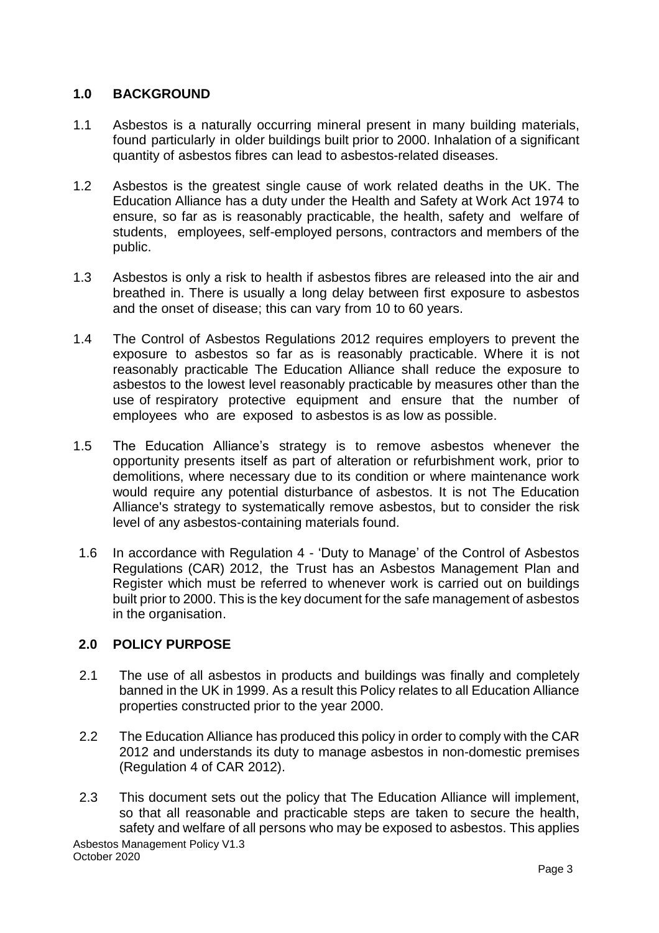#### **1.0 BACKGROUND**

- 1.1 Asbestos is a naturally occurring mineral present in many building materials, found particularly in older buildings built prior to 2000. Inhalation of a significant quantity of asbestos fibres can lead to asbestos-related diseases.
- 1.2 Asbestos is the greatest single cause of work related deaths in the UK. The Education Alliance has a duty under the Health and Safety at Work Act 1974 to ensure, so far as is reasonably practicable, the health, safety and welfare of students, employees, self-employed persons, contractors and members of the public.
- 1.3 Asbestos is only a risk to health if asbestos fibres are released into the air and breathed in. There is usually a long delay between first exposure to asbestos and the onset of disease; this can vary from 10 to 60 years.
- 1.4 The Control of Asbestos Regulations 2012 requires employers to prevent the exposure to asbestos so far as is reasonably practicable. Where it is not reasonably practicable The Education Alliance shall reduce the exposure to asbestos to the lowest level reasonably practicable by measures other than the use of respiratory protective equipment and ensure that the number of employees who are exposed to asbestos is as low as possible.
- 1.5 The Education Alliance's strategy is to remove asbestos whenever the opportunity presents itself as part of alteration or refurbishment work, prior to demolitions, where necessary due to its condition or where maintenance work would require any potential disturbance of asbestos. It is not The Education Alliance's strategy to systematically remove asbestos, but to consider the risk level of any asbestos-containing materials found.
- 1.6 In accordance with Regulation 4 'Duty to Manage' of the Control of Asbestos Regulations (CAR) 2012, the Trust has an Asbestos Management Plan and Register which must be referred to whenever work is carried out on buildings built prior to 2000. This is the key document for the safe management of asbestos in the organisation.

#### **2.0 POLICY PURPOSE**

- 2.1 The use of all asbestos in products and buildings was finally and completely banned in the UK in 1999. As a result this Policy relates to all Education Alliance properties constructed prior to the year 2000.
- 2.2 The Education Alliance has produced this policy in order to comply with the CAR 2012 and understands its duty to manage asbestos in non-domestic premises (Regulation 4 of CAR 2012).
- 2.3 This document sets out the policy that The Education Alliance will implement, so that all reasonable and practicable steps are taken to secure the health, safety and welfare of all persons who may be exposed to asbestos. This applies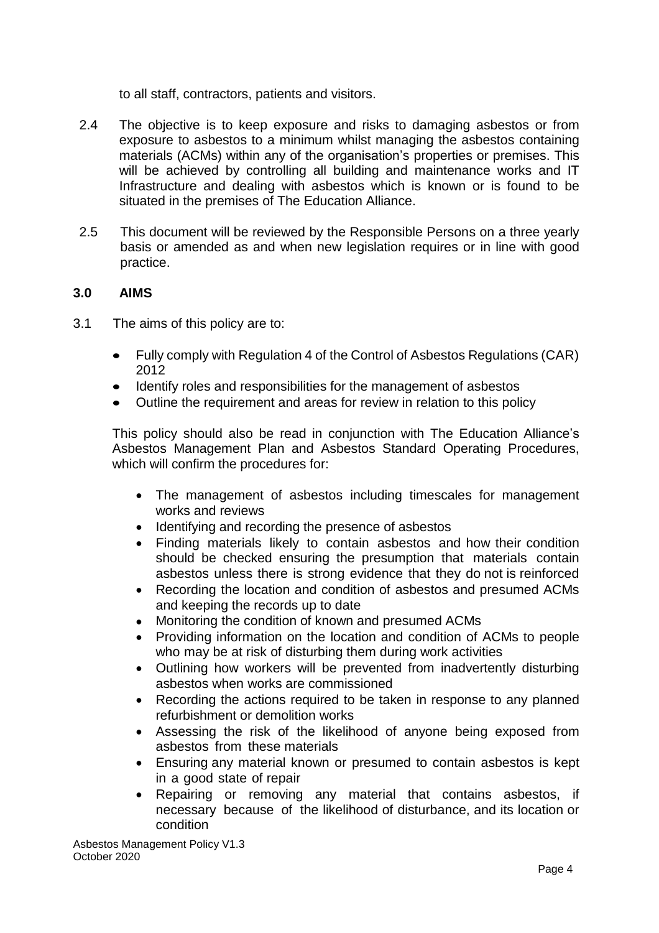to all staff, contractors, patients and visitors.

- 2.4 The objective is to keep exposure and risks to damaging asbestos or from exposure to asbestos to a minimum whilst managing the asbestos containing materials (ACMs) within any of the organisation's properties or premises. This will be achieved by controlling all building and maintenance works and IT Infrastructure and dealing with asbestos which is known or is found to be situated in the premises of The Education Alliance.
- 2.5 This document will be reviewed by the Responsible Persons on a three yearly basis or amended as and when new legislation requires or in line with good practice.

#### **3.0 AIMS**

- 3.1 The aims of this policy are to:
	- Fully comply with Regulation 4 of the Control of Asbestos Regulations (CAR) 2012
	- Identify roles and responsibilities for the management of asbestos
	- Outline the requirement and areas for review in relation to this policy

This policy should also be read in conjunction with The Education Alliance's Asbestos Management Plan and Asbestos Standard Operating Procedures, which will confirm the procedures for:

- The management of asbestos including timescales for management works and reviews
- Identifying and recording the presence of asbestos
- Finding materials likely to contain asbestos and how their condition should be checked ensuring the presumption that materials contain asbestos unless there is strong evidence that they do not is reinforced
- Recording the location and condition of asbestos and presumed ACMs and keeping the records up to date
- Monitoring the condition of known and presumed ACMs
- Providing information on the location and condition of ACMs to people who may be at risk of disturbing them during work activities
- Outlining how workers will be prevented from inadvertently disturbing asbestos when works are commissioned
- Recording the actions required to be taken in response to any planned refurbishment or demolition works
- Assessing the risk of the likelihood of anyone being exposed from asbestos from these materials
- Ensuring any material known or presumed to contain asbestos is kept in a good state of repair
- Repairing or removing any material that contains asbestos, if necessary because of the likelihood of disturbance, and its location or condition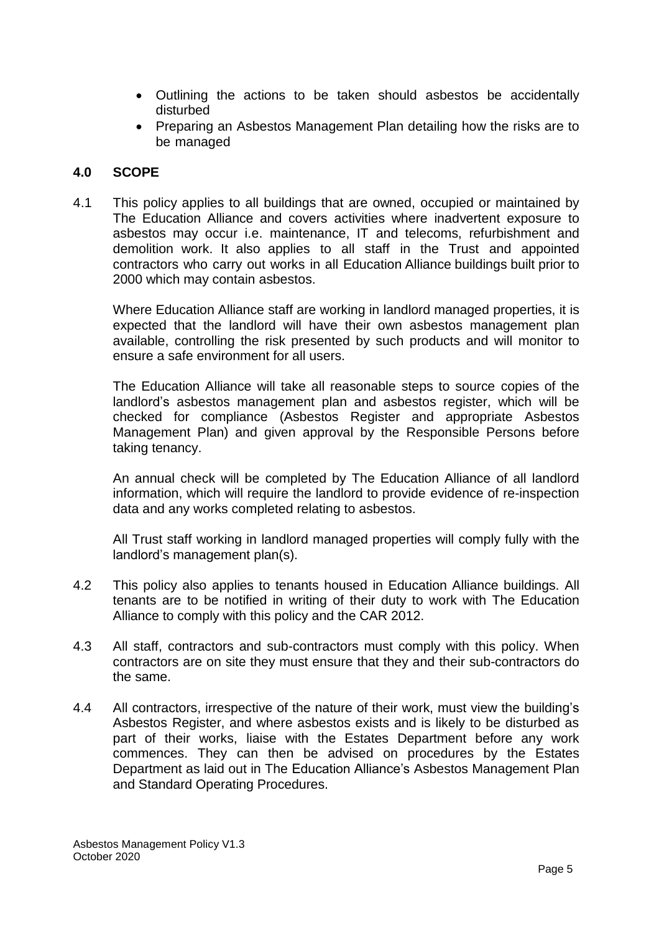- Outlining the actions to be taken should asbestos be accidentally disturbed
- Preparing an Asbestos Management Plan detailing how the risks are to be managed

#### **4.0 SCOPE**

4.1 This policy applies to all buildings that are owned, occupied or maintained by The Education Alliance and covers activities where inadvertent exposure to asbestos may occur i.e. maintenance, IT and telecoms, refurbishment and demolition work. It also applies to all staff in the Trust and appointed contractors who carry out works in all Education Alliance buildings built prior to 2000 which may contain asbestos.

Where Education Alliance staff are working in landlord managed properties, it is expected that the landlord will have their own asbestos management plan available, controlling the risk presented by such products and will monitor to ensure a safe environment for all users.

The Education Alliance will take all reasonable steps to source copies of the landlord's asbestos management plan and asbestos register, which will be checked for compliance (Asbestos Register and appropriate Asbestos Management Plan) and given approval by the Responsible Persons before taking tenancy.

An annual check will be completed by The Education Alliance of all landlord information, which will require the landlord to provide evidence of re-inspection data and any works completed relating to asbestos.

All Trust staff working in landlord managed properties will comply fully with the landlord's management plan(s).

- 4.2 This policy also applies to tenants housed in Education Alliance buildings. All tenants are to be notified in writing of their duty to work with The Education Alliance to comply with this policy and the CAR 2012.
- 4.3 All staff, contractors and sub-contractors must comply with this policy. When contractors are on site they must ensure that they and their sub-contractors do the same.
- 4.4 All contractors, irrespective of the nature of their work, must view the building's Asbestos Register, and where asbestos exists and is likely to be disturbed as part of their works, liaise with the Estates Department before any work commences. They can then be advised on procedures by the Estates Department as laid out in The Education Alliance's Asbestos Management Plan and Standard Operating Procedures.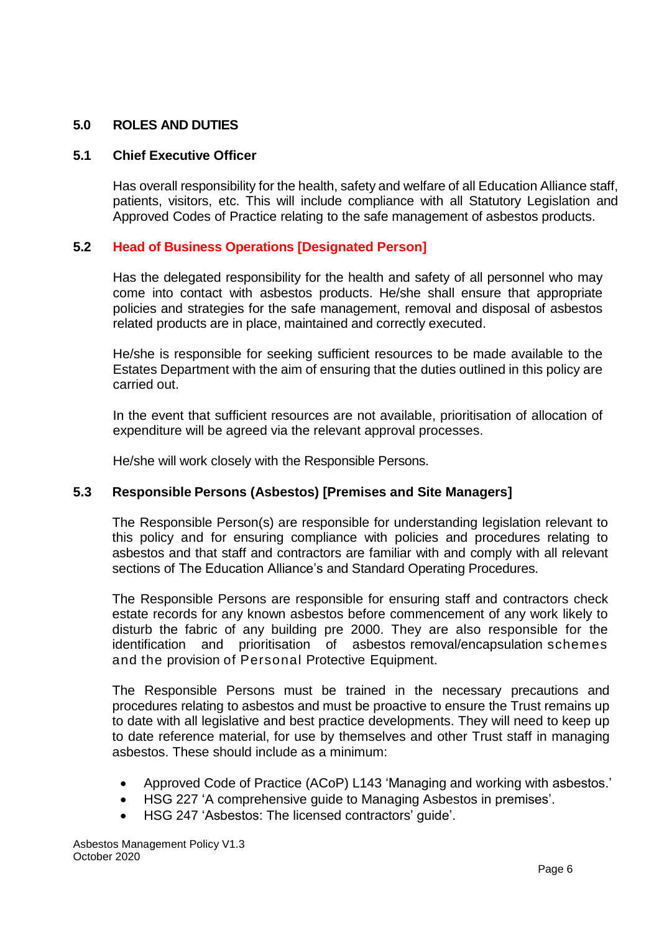#### **5.0 ROLES AND DUTIES**

#### **5.1 Chief Executive Officer**

Has overall responsibility for the health, safety and welfare of all Education Alliance staff, patients, visitors, etc. This will include compliance with all Statutory Legislation and Approved Codes of Practice relating to the safe management of asbestos products.

#### **5.2 Head of Business Operations [Designated Person]**

Has the delegated responsibility for the health and safety of all personnel who may come into contact with asbestos products. He/she shall ensure that appropriate policies and strategies for the safe management, removal and disposal of asbestos related products are in place, maintained and correctly executed.

He/she is responsible for seeking sufficient resources to be made available to the Estates Department with the aim of ensuring that the duties outlined in this policy are carried out.

In the event that sufficient resources are not available, prioritisation of allocation of expenditure will be agreed via the relevant approval processes.

He/she will work closely with the Responsible Persons.

#### **5.3 Responsible Persons (Asbestos) [Premises and Site Managers]**

The Responsible Person(s) are responsible for understanding legislation relevant to this policy and for ensuring compliance with policies and procedures relating to asbestos and that staff and contractors are familiar with and comply with all relevant sections of The Education Alliance's and Standard Operating Procedures.

The Responsible Persons are responsible for ensuring staff and contractors check estate records for any known asbestos before commencement of any work likely to disturb the fabric of any building pre 2000. They are also responsible for the identification and prioritisation of asbestos removal/encapsulation schemes and the provision of Personal Protective Equipment.

The Responsible Persons must be trained in the necessary precautions and procedures relating to asbestos and must be proactive to ensure the Trust remains up to date with all legislative and best practice developments. They will need to keep up to date reference material, for use by themselves and other Trust staff in managing asbestos. These should include as a minimum:

- Approved Code of Practice (ACoP) L143 'Managing and working with asbestos.'
- HSG 227 'A comprehensive guide to Managing Asbestos in premises'.
- HSG 247 'Asbestos: The licensed contractors' guide'.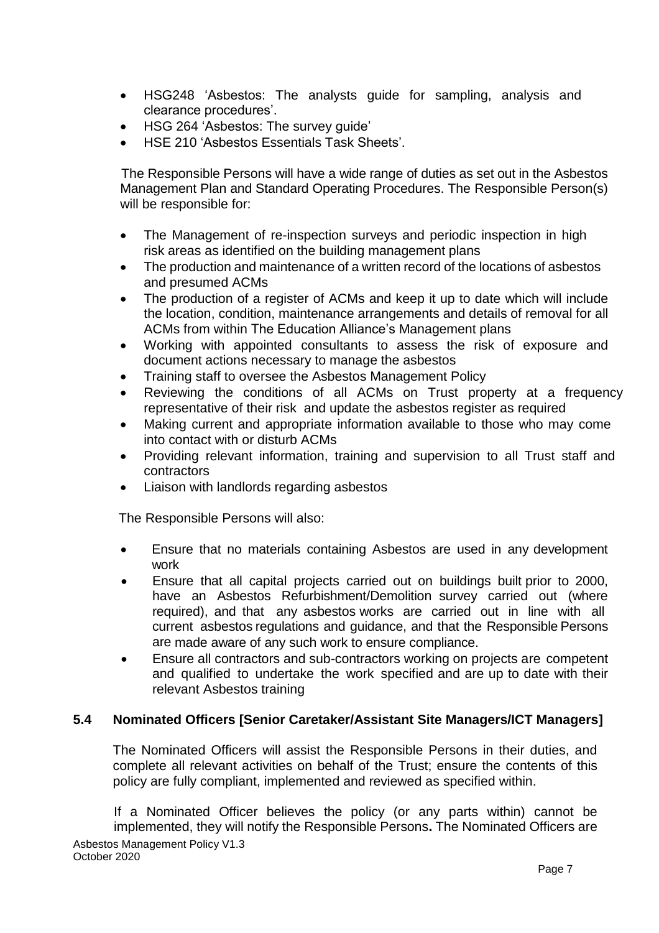- HSG248 'Asbestos: The analysts guide for sampling, analysis and clearance procedures'.
- HSG 264 'Asbestos: The survey guide'
- HSE 210 'Asbestos Essentials Task Sheets'.

The Responsible Persons will have a wide range of duties as set out in the Asbestos Management Plan and Standard Operating Procedures. The Responsible Person(s) will be responsible for:

- The Management of re-inspection surveys and periodic inspection in high risk areas as identified on the building management plans
- The production and maintenance of a written record of the locations of asbestos and presumed ACMs
- The production of a register of ACMs and keep it up to date which will include the location, condition, maintenance arrangements and details of removal for all ACMs from within The Education Alliance's Management plans
- Working with appointed consultants to assess the risk of exposure and document actions necessary to manage the asbestos
- Training staff to oversee the Asbestos Management Policy
- Reviewing the conditions of all ACMs on Trust property at a frequency representative of their risk and update the asbestos register as required
- Making current and appropriate information available to those who may come into contact with or disturb ACMs
- Providing relevant information, training and supervision to all Trust staff and contractors
- Liaison with landlords regarding asbestos

The Responsible Persons will also:

- Ensure that no materials containing Asbestos are used in any development work
- Ensure that all capital projects carried out on buildings built prior to 2000, have an Asbestos Refurbishment/Demolition survey carried out (where required), and that any asbestos works are carried out in line with all current asbestos regulations and guidance, and that the Responsible Persons are made aware of any such work to ensure compliance.
- Ensure all contractors and sub-contractors working on projects are competent and qualified to undertake the work specified and are up to date with their relevant Asbestos training

#### **5.4 Nominated Officers [Senior Caretaker/Assistant Site Managers/ICT Managers]**

The Nominated Officers will assist the Responsible Persons in their duties, and complete all relevant activities on behalf of the Trust; ensure the contents of this policy are fully compliant, implemented and reviewed as specified within.

Asbestos Management Policy V1.3 October 2020 If a Nominated Officer believes the policy (or any parts within) cannot be implemented, they will notify the Responsible Persons**.** The Nominated Officers are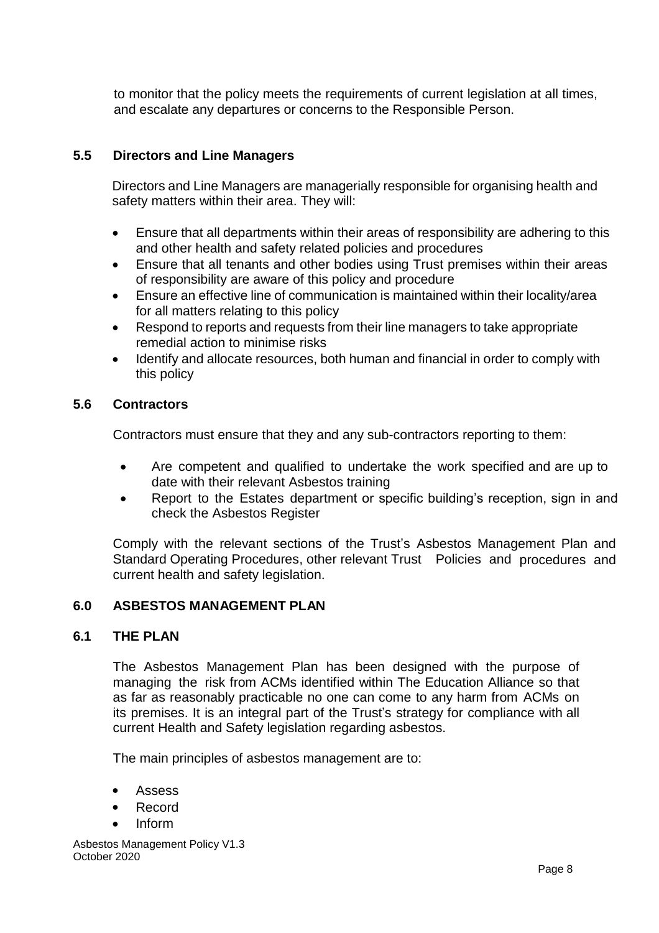to monitor that the policy meets the requirements of current legislation at all times, and escalate any departures or concerns to the Responsible Person.

#### **5.5 Directors and Line Managers**

Directors and Line Managers are managerially responsible for organising health and safety matters within their area. They will:

- Ensure that all departments within their areas of responsibility are adhering to this and other health and safety related policies and procedures
- Ensure that all tenants and other bodies using Trust premises within their areas of responsibility are aware of this policy and procedure
- Ensure an effective line of communication is maintained within their locality/area for all matters relating to this policy
- Respond to reports and requests from their line managers to take appropriate remedial action to minimise risks
- Identify and allocate resources, both human and financial in order to comply with this policy

#### **5.6 Contractors**

Contractors must ensure that they and any sub-contractors reporting to them:

- Are competent and qualified to undertake the work specified and are up to date with their relevant Asbestos training
- Report to the Estates department or specific building's reception, sign in and check the Asbestos Register

Comply with the relevant sections of the Trust's Asbestos Management Plan and Standard Operating Procedures, other relevant Trust Policies and procedures and current health and safety legislation.

#### **6.0 ASBESTOS MANAGEMENT PLAN**

#### **6.1 THE PLAN**

The Asbestos Management Plan has been designed with the purpose of managing the risk from ACMs identified within The Education Alliance so that as far as reasonably practicable no one can come to any harm from ACMs on its premises. It is an integral part of the Trust's strategy for compliance with all current Health and Safety legislation regarding asbestos.

The main principles of asbestos management are to:

- Assess
- Record
- Inform

Asbestos Management Policy V1.3 October 2020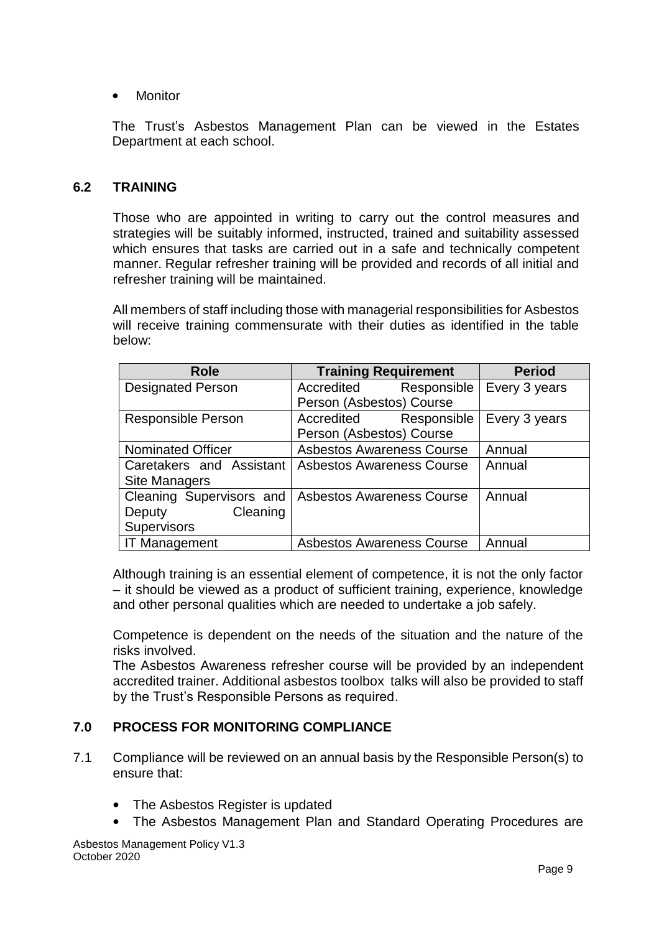• Monitor

The Trust's Asbestos Management Plan can be viewed in the Estates Department at each school.

#### **6.2 TRAINING**

Those who are appointed in writing to carry out the control measures and strategies will be suitably informed, instructed, trained and suitability assessed which ensures that tasks are carried out in a safe and technically competent manner. Regular refresher training will be provided and records of all initial and refresher training will be maintained.

All members of staff including those with managerial responsibilities for Asbestos will receive training commensurate with their duties as identified in the table below:

| <b>Role</b>               | <b>Training Requirement</b>      | <b>Period</b> |
|---------------------------|----------------------------------|---------------|
| <b>Designated Person</b>  | Accredited<br>Responsible        | Every 3 years |
|                           | Person (Asbestos) Course         |               |
| <b>Responsible Person</b> | Responsible<br>Accredited        | Every 3 years |
|                           | Person (Asbestos) Course         |               |
| <b>Nominated Officer</b>  | <b>Asbestos Awareness Course</b> | Annual        |
| Caretakers and Assistant  | <b>Asbestos Awareness Course</b> | Annual        |
| <b>Site Managers</b>      |                                  |               |
| Cleaning Supervisors and  | <b>Asbestos Awareness Course</b> | Annual        |
| Cleaning<br>Deputy        |                                  |               |
| <b>Supervisors</b>        |                                  |               |
| <b>IT Management</b>      | <b>Asbestos Awareness Course</b> | Annual        |

Although training is an essential element of competence, it is not the only factor – it should be viewed as a product of sufficient training, experience, knowledge and other personal qualities which are needed to undertake a job safely.

Competence is dependent on the needs of the situation and the nature of the risks involved.

The Asbestos Awareness refresher course will be provided by an independent accredited trainer. Additional asbestos toolbox talks will also be provided to staff by the Trust's Responsible Persons as required.

#### **7.0 PROCESS FOR MONITORING COMPLIANCE**

- 7.1 Compliance will be reviewed on an annual basis by the Responsible Person(s) to ensure that:
	- The Asbestos Register is updated
	- The Asbestos Management Plan and Standard Operating Procedures are

Asbestos Management Policy V1.3 October 2020